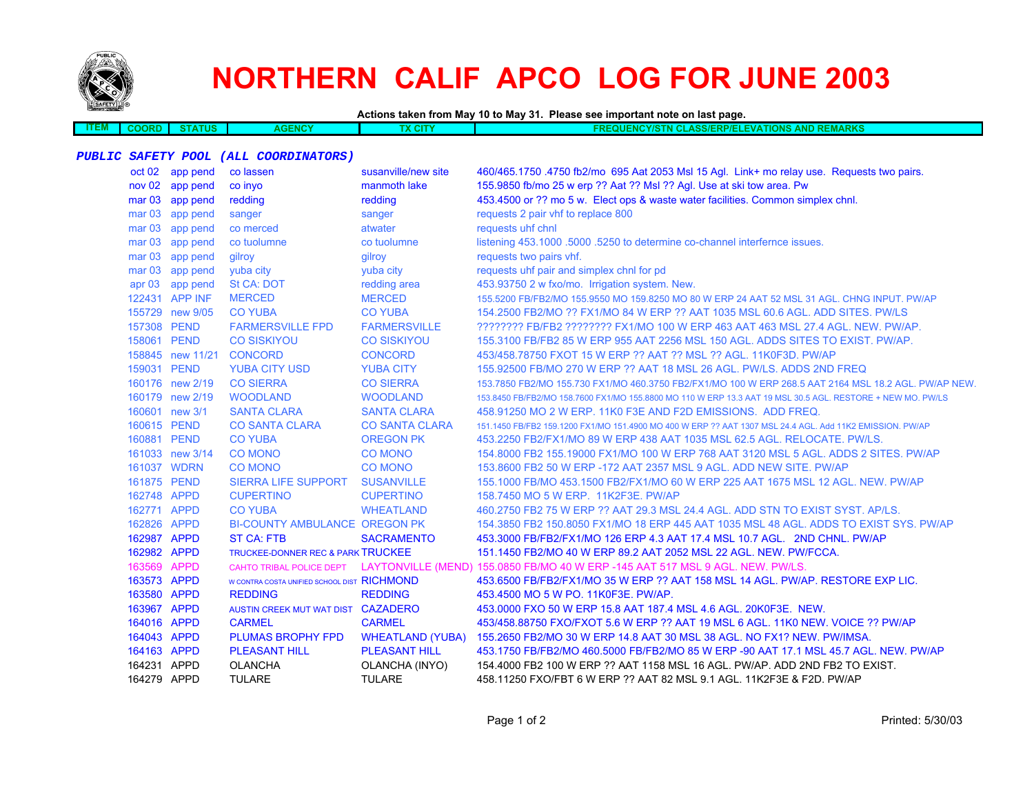

**ITEM**

## **NORTHERN CALIF APCO LOG FOR JUNE 2003**

**Actions taken from May 10 to May 31. Please see important note on last page.**

 **COORD STATUSAGENCY TX CITY FREQUENCY/STN CLASS/ERP/ELEVATIONS AND REMARKS**

## **PUBLIC SAFETY POOL (ALL COORDINATORS)**

| oct 02 app pend  | co lassen                                   | susanville/new site     | 460/465.1750 .4750 fb2/mo 695 Aat 2053 Msl 15 Agl. Link+ mo relay use. Requests two pairs.                 |
|------------------|---------------------------------------------|-------------------------|------------------------------------------------------------------------------------------------------------|
| nov 02 app pend  | co inyo                                     | manmoth lake            | 155.9850 fb/mo 25 w erp ?? Aat ?? Msl ?? Agl. Use at ski tow area. Pw                                      |
| mar 03 app pend  | redding                                     | redding                 | 453.4500 or ?? mo 5 w. Elect ops & waste water facilities. Common simplex chnl.                            |
| mar 03 app pend  | sanger                                      | sanger                  | requests 2 pair vhf to replace 800                                                                         |
| mar 03 app pend  | co merced                                   | atwater                 | requests uhf chnl                                                                                          |
| mar 03 app pend  | co tuolumne                                 | co tuolumne             | listening 453.1000 .5000 .5250 to determine co-channel interfernce issues.                                 |
| mar 03 app pend  | gilroy                                      | gilroy                  | requests two pairs vhf.                                                                                    |
| mar 03 app pend  | yuba city                                   | yuba city               | requests uhf pair and simplex chnl for pd                                                                  |
| apr 03 app pend  | <b>St CA: DOT</b>                           | redding area            | 453.93750 2 w fxo/mo. Irrigation system. New.                                                              |
| 122431 APP INF   | <b>MERCED</b>                               | <b>MERCED</b>           | 155,5200 FB/FB2/MO 155,9550 MO 159,8250 MO 80 W ERP 24 AAT 52 MSL 31 AGL, CHNG INPUT, PW/AP                |
| 155729 new 9/05  | <b>CO YUBA</b>                              | <b>CO YUBA</b>          | 154,2500 FB2/MO ?? FX1/MO 84 W ERP ?? AAT 1035 MSL 60.6 AGL, ADD SITES, PW/LS                              |
| 157308 PEND      | <b>FARMERSVILLE FPD</b>                     | <b>FARMERSVILLE</b>     | ???????? FB/FB2 ???????? FX1/MO 100 W ERP 463 AAT 463 MSL 27.4 AGL. NEW. PW/AP.                            |
| 158061 PEND      | <b>CO SISKIYOU</b>                          | <b>CO SISKIYOU</b>      | 155.3100 FB/FB2 85 W ERP 955 AAT 2256 MSL 150 AGL. ADDS SITES TO EXIST. PW/AP.                             |
| 158845 new 11/21 | <b>CONCORD</b>                              | <b>CONCORD</b>          | 453/458.78750 FXOT 15 W ERP ?? AAT ?? MSL ?? AGL. 11K0F3D. PW/AP                                           |
| 159031 PEND      | <b>YUBA CITY USD</b>                        | <b>YUBA CITY</b>        | 155.92500 FB/MO 270 W ERP ?? AAT 18 MSL 26 AGL. PW/LS. ADDS 2ND FREQ                                       |
| 160176 new 2/19  | <b>CO SIERRA</b>                            | <b>CO SIERRA</b>        | 153.7850 FB2/MO 155.730 FX1/MO 460.3750 FB2/FX1/MO 100 W ERP 268.5 AAT 2164 MSL 18.2 AGL. PW/AP NEW.       |
| 160179 new 2/19  | <b>WOODLAND</b>                             | <b>WOODLAND</b>         | 153,8450 FB/FB2/MO 158,7600 FX1/MO 155,8800 MO 110 W ERP 13.3 AAT 19 MSL 30.5 AGL, RESTORE + NEW MO, PW/LS |
| 160601 new 3/1   | <b>SANTA CLARA</b>                          | <b>SANTA CLARA</b>      | 458,91250 MO 2 W ERP, 11K0 F3E AND F2D EMISSIONS. ADD FREQ.                                                |
| 160615 PEND      | <b>CO SANTA CLARA</b>                       | <b>CO SANTA CLARA</b>   | 151.1450 FB/FB2 159.1200 FX1/MO 151.4900 MO 400 W ERP ?? AAT 1307 MSL 24.4 AGL. Add 11K2 EMISSION. PW/AP   |
| 160881 PEND      | <b>CO YUBA</b>                              | <b>OREGON PK</b>        | 453.2250 FB2/FX1/MO 89 W ERP 438 AAT 1035 MSL 62.5 AGL. RELOCATE. PW/LS.                                   |
| 161033 new 3/14  | <b>CO MONO</b>                              | <b>CO MONO</b>          | 154,8000 FB2 155,19000 FX1/MO 100 W ERP 768 AAT 3120 MSL 5 AGL, ADDS 2 SITES, PW/AP                        |
| 161037 WDRN      | <b>CO MONO</b>                              | <b>CO MONO</b>          | 153,8600 FB2 50 W ERP -172 AAT 2357 MSL 9 AGL, ADD NEW SITE, PW/AP                                         |
| 161875 PEND      | SIERRA LIFE SUPPORT                         | <b>SUSANVILLE</b>       | 155.1000 FB/MO 453.1500 FB2/FX1/MO 60 W ERP 225 AAT 1675 MSL 12 AGL. NEW. PW/AP                            |
| 162748 APPD      | <b>CUPERTINO</b>                            | <b>CUPERTINO</b>        | 158.7450 MO 5 W ERP. 11K2F3E. PW/AP                                                                        |
| 162771 APPD      | <b>CO YUBA</b>                              | <b>WHEATLAND</b>        | 460.2750 FB2 75 W ERP ?? AAT 29.3 MSL 24.4 AGL. ADD STN TO EXIST SYST. AP/LS.                              |
| 162826 APPD      | <b>BI-COUNTY AMBULANCE OREGON PK</b>        |                         | 154,3850 FB2 150,8050 FX1/MO 18 ERP 445 AAT 1035 MSL 48 AGL. ADDS TO EXIST SYS, PW/AP                      |
| 162987 APPD      | <b>ST CA: FTB</b>                           | <b>SACRAMENTO</b>       | 453.3000 FB/FB2/FX1/MO 126 ERP 4.3 AAT 17.4 MSL 10.7 AGL. 2ND CHNL. PW/AP                                  |
| 162982 APPD      | TRUCKEE-DONNER REC & PARK TRUCKEE           |                         | 151.1450 FB2/MO 40 W ERP 89.2 AAT 2052 MSL 22 AGL. NEW. PW/FCCA.                                           |
| 163569 APPD      | CAHTO TRIBAL POLICE DEPT                    |                         | LAYTONVILLE (MEND) 155.0850 FB/MO 40 W ERP -145 AAT 517 MSL 9 AGL. NEW. PW/LS.                             |
| 163573 APPD      | W CONTRA COSTA UNIFIED SCHOOL DIST RICHMOND |                         | 453,6500 FB/FB2/FX1/MO 35 W ERP ?? AAT 158 MSL 14 AGL, PW/AP, RESTORE EXP LIC.                             |
| 163580 APPD      | <b>REDDING</b>                              | <b>REDDING</b>          | 453.4500 MO 5 W PO. 11K0F3E. PW/AP.                                                                        |
| 163967 APPD      | AUSTIN CREEK MUT WAT DIST CAZADERO          |                         | 453.0000 FXO 50 W ERP 15.8 AAT 187.4 MSL 4.6 AGL. 20K0F3E. NEW.                                            |
| 164016 APPD      | <b>CARMEL</b>                               | <b>CARMEL</b>           | 453/458.88750 FXO/FXOT 5.6 W ERP ?? AAT 19 MSL 6 AGL. 11K0 NEW, VOICE ?? PW/AP                             |
| 164043 APPD      | PLUMAS BROPHY FPD                           | <b>WHEATLAND (YUBA)</b> | 155.2650 FB2/MO 30 W ERP 14.8 AAT 30 MSL 38 AGL. NO FX1? NEW. PW/IMSA.                                     |
| 164163 APPD      | <b>PLEASANT HILL</b>                        | <b>PLEASANT HILL</b>    | 453.1750 FB/FB2/MO 460.5000 FB/FB2/MO 85 W ERP -90 AAT 17.1 MSL 45.7 AGL. NEW. PW/AP                       |
| 164231 APPD      | <b>OLANCHA</b>                              | OLANCHA (INYO)          | 154.4000 FB2 100 W ERP ?? AAT 1158 MSL 16 AGL. PW/AP. ADD 2ND FB2 TO EXIST.                                |
| 164279 APPD      | <b>TULARE</b>                               | <b>TULARE</b>           | 458.11250 FXO/FBT 6 W ERP ?? AAT 82 MSL 9.1 AGL, 11K2F3E & F2D, PW/AP                                      |